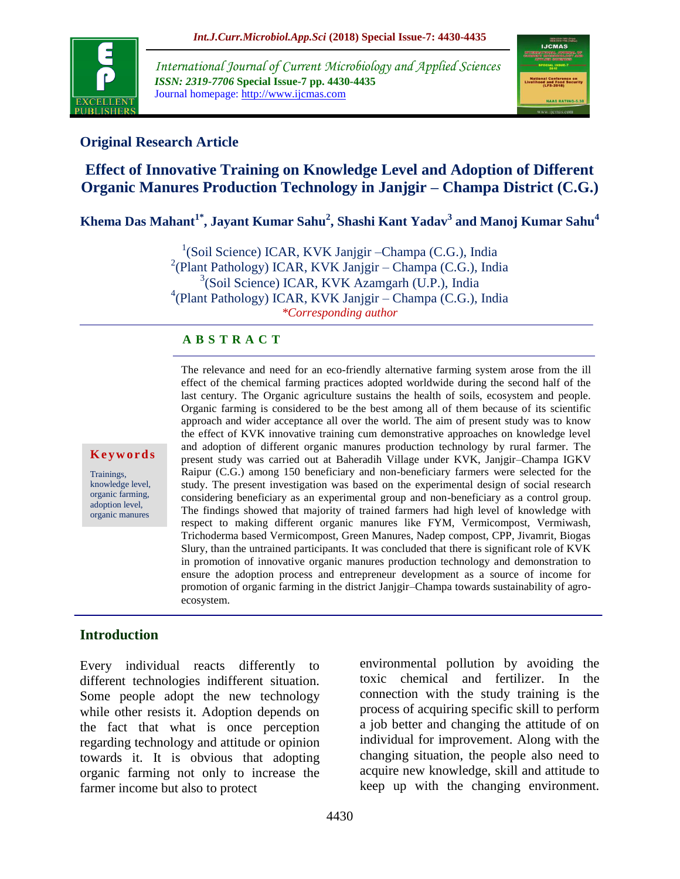

*International Journal of Current Microbiology and Applied Sciences ISSN: 2319-7706* **Special Issue-7 pp. 4430-4435** Journal homepage: http://www.ijcmas.com



# **Original Research Article**

# **Effect of Innovative Training on Knowledge Level and Adoption of Different Organic Manures Production Technology in Janjgir – Champa District (C.G.)**

**Khema Das Mahant1\* , Jayant Kumar Sahu<sup>2</sup> , Shashi Kant Yadav<sup>3</sup> and Manoj Kumar Sahu<sup>4</sup>**

<sup>1</sup>(Soil Science) ICAR, KVK Janjgir - Champa (C.G.), India 2 (Plant Pathology) ICAR, KVK Janjgir – Champa (C.G.), India 3 (Soil Science) ICAR, KVK Azamgarh (U.P.), India 4 (Plant Pathology) ICAR, KVK Janjgir – Champa (C.G.), India *\*Corresponding author*

#### **A B S T R A C T**

#### **K e y w o r d s**

Trainings, knowledge level, organic farming, adoption level, organic manures

The relevance and need for an eco-friendly alternative farming system arose from the ill effect of the chemical farming practices adopted worldwide during the second half of the last century. The Organic agriculture sustains the health of soils, ecosystem and people. Organic farming is considered to be the best among all of them because of its scientific approach and wider acceptance all over the world. The aim of present study was to know the effect of KVK innovative training cum demonstrative approaches on knowledge level and adoption of different organic manures production technology by rural farmer. The present study was carried out at Baheradih Village under KVK, Janjgir–Champa IGKV Raipur (C.G.) among 150 beneficiary and non-beneficiary farmers were selected for the study. The present investigation was based on the experimental design of social research considering beneficiary as an experimental group and non-beneficiary as a control group. The findings showed that majority of trained farmers had high level of knowledge with respect to making different organic manures like FYM, Vermicompost, Vermiwash, Trichoderma based Vermicompost, Green Manures, Nadep compost, CPP, Jivamrit, Biogas Slury, than the untrained participants. It was concluded that there is significant role of KVK in promotion of innovative organic manures production technology and demonstration to ensure the adoption process and entrepreneur development as a source of income for promotion of organic farming in the district Janjgir–Champa towards sustainability of agroecosystem.

#### **Introduction**

Every individual reacts differently to different technologies indifferent situation. Some people adopt the new technology while other resists it. Adoption depends on the fact that what is once perception regarding technology and attitude or opinion towards it. It is obvious that adopting organic farming not only to increase the farmer income but also to protect

environmental pollution by avoiding the toxic chemical and fertilizer. In the connection with the study training is the process of acquiring specific skill to perform a job better and changing the attitude of on individual for improvement. Along with the changing situation, the people also need to acquire new knowledge, skill and attitude to keep up with the changing environment.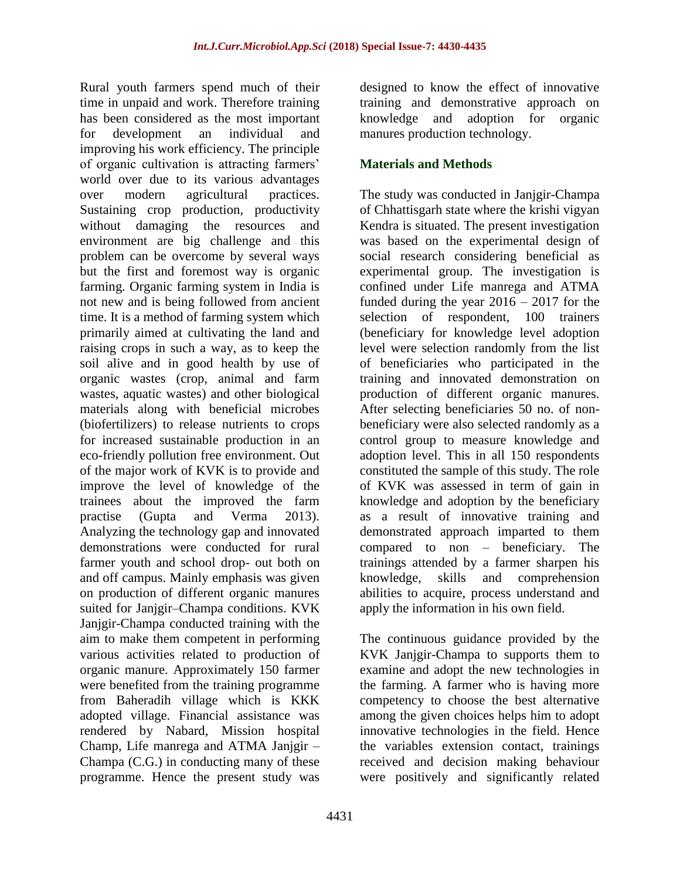Rural youth farmers spend much of their time in unpaid and work. Therefore training has been considered as the most important for development an individual and improving his work efficiency. The principle of organic cultivation is attracting farmers' world over due to its various advantages over modern agricultural practices. Sustaining crop production, productivity without damaging the resources and environment are big challenge and this problem can be overcome by several ways but the first and foremost way is organic farming. Organic farming system in India is not new and is being followed from ancient time. It is a method of farming system which primarily aimed at cultivating the land and raising crops in such a way, as to keep the soil alive and in good health by use of organic wastes (crop, animal and farm wastes, aquatic wastes) and other biological materials along with beneficial microbes (biofertilizers) to release nutrients to crops for increased sustainable production in an eco-friendly pollution free environment. Out of the major work of KVK is to provide and improve the level of knowledge of the trainees about the improved the farm practise (Gupta and Verma 2013). Analyzing the technology gap and innovated demonstrations were conducted for rural farmer youth and school drop- out both on and off campus. Mainly emphasis was given on production of different organic manures suited for Janjgir–Champa conditions. KVK Janjgir-Champa conducted training with the aim to make them competent in performing various activities related to production of organic manure. Approximately 150 farmer were benefited from the training programme from Baheradih village which is KKK adopted village. Financial assistance was rendered by Nabard, Mission hospital Champ, Life manrega and ATMA Janjgir – Champa (C.G.) in conducting many of these programme. Hence the present study was

designed to know the effect of innovative training and demonstrative approach on knowledge and adoption for organic manures production technology.

### **Materials and Methods**

The study was conducted in Janjgir-Champa of Chhattisgarh state where the krishi vigyan Kendra is situated. The present investigation was based on the experimental design of social research considering beneficial as experimental group. The investigation is confined under Life manrega and ATMA funded during the year  $2016 - 2017$  for the selection of respondent, 100 trainers (beneficiary for knowledge level adoption level were selection randomly from the list of beneficiaries who participated in the training and innovated demonstration on production of different organic manures. After selecting beneficiaries 50 no. of nonbeneficiary were also selected randomly as a control group to measure knowledge and adoption level. This in all 150 respondents constituted the sample of this study. The role of KVK was assessed in term of gain in knowledge and adoption by the beneficiary as a result of innovative training and demonstrated approach imparted to them compared to non – beneficiary. The trainings attended by a farmer sharpen his knowledge, skills and comprehension abilities to acquire, process understand and apply the information in his own field.

The continuous guidance provided by the KVK Janjgir-Champa to supports them to examine and adopt the new technologies in the farming. A farmer who is having more competency to choose the best alternative among the given choices helps him to adopt innovative technologies in the field. Hence the variables extension contact, trainings received and decision making behaviour were positively and significantly related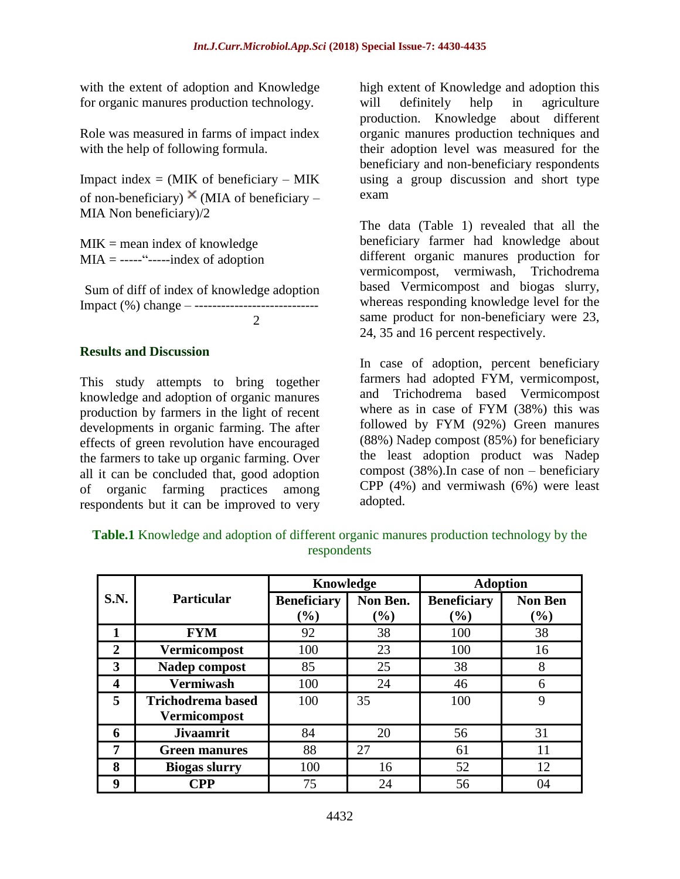with the extent of adoption and Knowledge for organic manures production technology.

Role was measured in farms of impact index with the help of following formula.

Impact index  $=$  (MIK of beneficiary  $-$  MIK of non-beneficiary)  $\times$  (MIA of beneficiary – MIA Non beneficiary)/2

 $MIK$  = mean index of knowledge  $MIA =$  -----"------index of adoption

Sum of diff of index of knowledge adoption Impact (%) change – ----------------------------

 $\mathcal{D}$ 

#### **Results and Discussion**

This study attempts to bring together knowledge and adoption of organic manures production by farmers in the light of recent developments in organic farming. The after effects of green revolution have encouraged the farmers to take up organic farming. Over all it can be concluded that, good adoption of organic farming practices among respondents but it can be improved to very high extent of Knowledge and adoption this will definitely help in agriculture production. Knowledge about different organic manures production techniques and their adoption level was measured for the beneficiary and non-beneficiary respondents using a group discussion and short type exam

The data (Table 1) revealed that all the beneficiary farmer had knowledge about different organic manures production for vermicompost, vermiwash, Trichodrema based Vermicompost and biogas slurry, whereas responding knowledge level for the same product for non-beneficiary were 23, 24, 35 and 16 percent respectively.

In case of adoption, percent beneficiary farmers had adopted FYM, vermicompost, and Trichodrema based Vermicompost where as in case of FYM (38%) this was followed by FYM (92%) Green manures (88%) Nadep compost (85%) for beneficiary the least adoption product was Nadep compost (38%).In case of non – beneficiary CPP (4%) and vermiwash (6%) were least adopted.

|             |                          | Knowledge          |          | <b>Adoption</b>    |                |
|-------------|--------------------------|--------------------|----------|--------------------|----------------|
| <b>S.N.</b> | <b>Particular</b>        | <b>Beneficiary</b> | Non Ben. | <b>Beneficiary</b> | <b>Non Ben</b> |
|             |                          | (%)                | $(\%)$   | $(\%)$             | $(\%)$         |
|             | <b>FYM</b>               | 92                 | 38       | 100                | 38             |
| 2           | <b>Vermicompost</b>      | 100                | 23       | 100                | 16             |
| 3           | Nadep compost            | 85                 | 25       | 38                 | 8              |
| 4           | <b>Vermiwash</b>         | 100                | 24       | 46                 | 6              |
| 5           | <b>Trichodrema based</b> | 100                | 35       | 100                | 9              |
|             | <b>Vermicompost</b>      |                    |          |                    |                |
| 6           | <b>Jivaamrit</b>         | 84                 | 20       | 56                 | 31             |
| 7           | <b>Green manures</b>     | 88                 | 27       | 61                 | 11             |
| 8           | <b>Biogas slurry</b>     | 100                | 16       | 52                 | 12             |
| 9           | <b>CPP</b>               | 75                 | 24       | 56                 | 04             |

**Table.1** Knowledge and adoption of different organic manures production technology by the respondents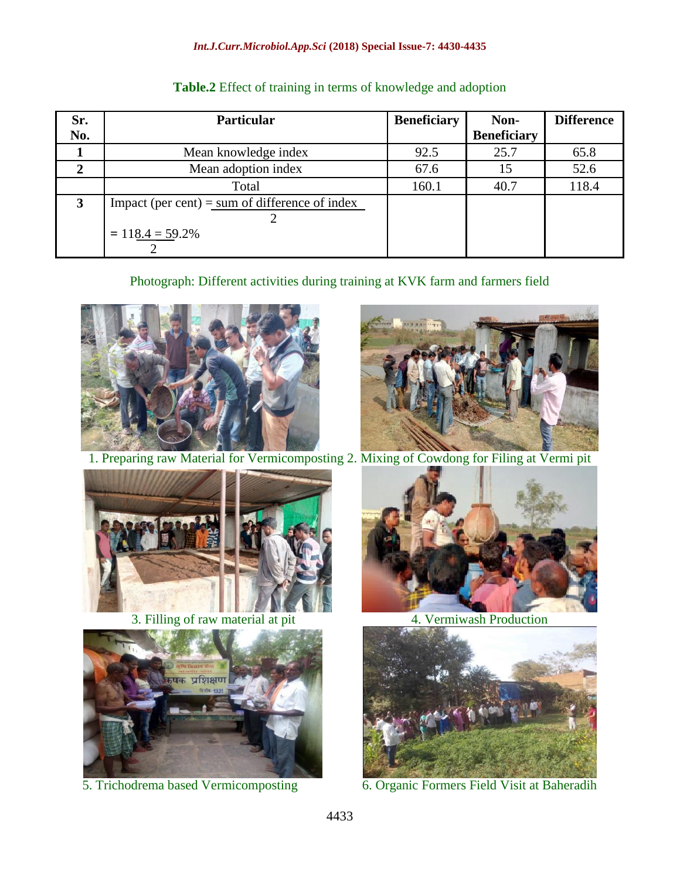#### *Int.J.Curr.Microbiol.App.Sci* **(2018) Special Issue-7: 4430-4435**

| Sr.<br>No. | <b>Particular</b>                                                    | <b>Beneficiary</b> | Non-<br><b>Beneficiary</b> | <b>Difference</b> |
|------------|----------------------------------------------------------------------|--------------------|----------------------------|-------------------|
|            | Mean knowledge index                                                 | 92.5               | 25.7                       | 65.8              |
|            | Mean adoption index                                                  | 67.6               |                            | 52.6              |
|            | Total                                                                | 160.1              | 40.7                       | 118.4             |
| 3          | Impact (per cent) = sum of difference of index<br>$= 118.4 = 59.2\%$ |                    |                            |                   |

#### **Table.2** Effect of training in terms of knowledge and adoption

# Photograph: Different activities during training at KVK farm and farmers field





1. Preparing raw Material for Vermicomposting 2. Mixing of Cowdong for Filing at Vermi pit



3. Filling of raw material at pit 4. Vermiwash Production







5. Trichodrema based Vermicomposting 6. Organic Formers Field Visit at Baheradih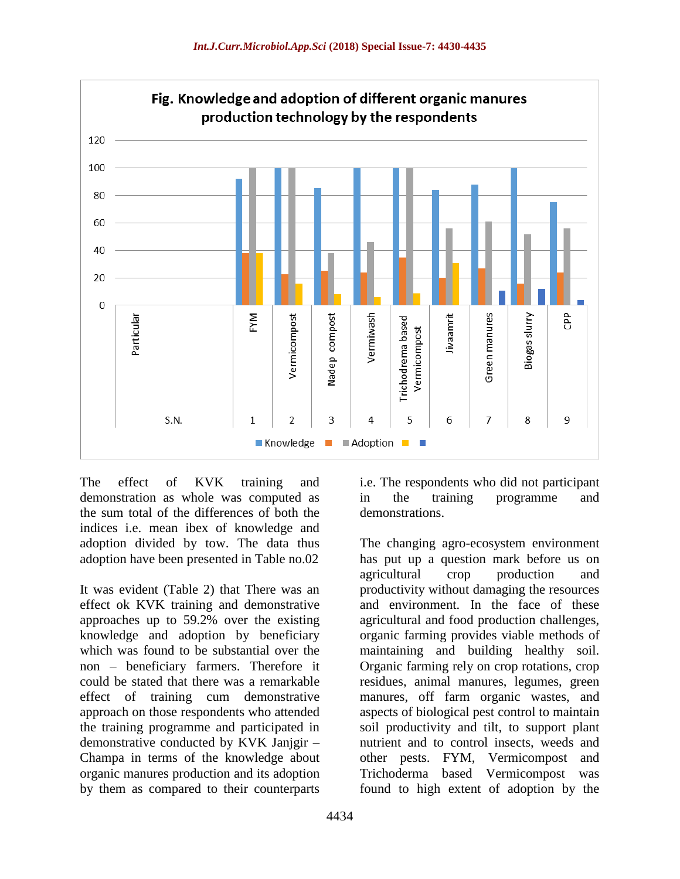

The effect of KVK training and demonstration as whole was computed as the sum total of the differences of both the indices i.e. mean ibex of knowledge and adoption divided by tow. The data thus adoption have been presented in Table no.02

It was evident (Table 2) that There was an effect ok KVK training and demonstrative approaches up to 59.2% over the existing knowledge and adoption by beneficiary which was found to be substantial over the non – beneficiary farmers. Therefore it could be stated that there was a remarkable effect of training cum demonstrative approach on those respondents who attended the training programme and participated in demonstrative conducted by KVK Janjgir – Champa in terms of the knowledge about organic manures production and its adoption by them as compared to their counterparts

i.e. The respondents who did not participant in the training programme and demonstrations.

The changing agro-ecosystem environment

has put up a question mark before us on agricultural crop production and productivity without damaging the resources and environment. In the face of these agricultural and food production challenges, organic farming provides viable methods of maintaining and building healthy soil. Organic farming rely on crop rotations, crop residues, animal manures, legumes, green manures, off farm organic wastes, and aspects of biological pest control to maintain soil productivity and tilt, to support plant nutrient and to control insects, weeds and other pests. FYM, Vermicompost and Trichoderma based Vermicompost was found to high extent of adoption by the